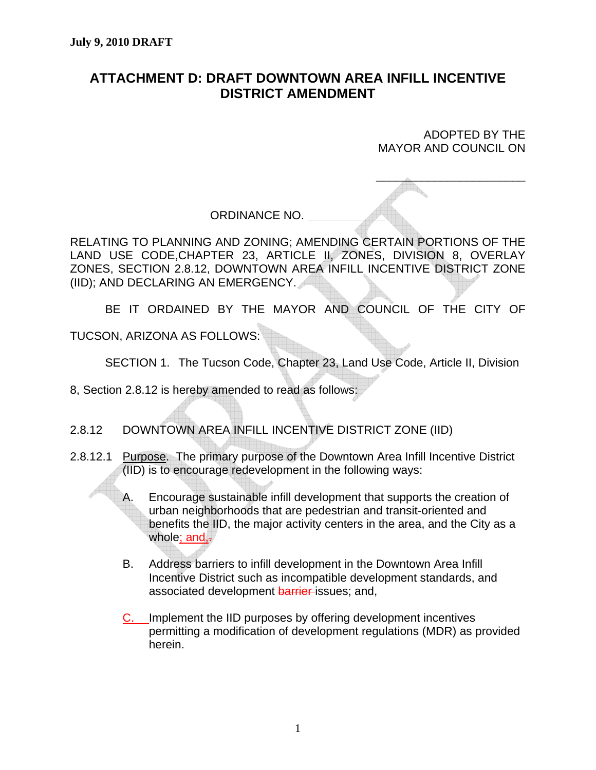# **ATTACHMENT D: DRAFT DOWNTOWN AREA INFILL INCENTIVE DISTRICT AMENDMENT**

ADOPTED BY THE MAYOR AND COUNCIL ON

 $\overline{\phantom{a}}$  ,  $\overline{\phantom{a}}$  ,  $\overline{\phantom{a}}$  ,  $\overline{\phantom{a}}$  ,  $\overline{\phantom{a}}$  ,  $\overline{\phantom{a}}$  ,  $\overline{\phantom{a}}$  ,  $\overline{\phantom{a}}$  ,  $\overline{\phantom{a}}$  ,  $\overline{\phantom{a}}$  ,  $\overline{\phantom{a}}$  ,  $\overline{\phantom{a}}$  ,  $\overline{\phantom{a}}$  ,  $\overline{\phantom{a}}$  ,  $\overline{\phantom{a}}$  ,  $\overline{\phantom{a}}$ 

ORDINANCE NO.

RELATING TO PLANNING AND ZONING; AMENDING CERTAIN PORTIONS OF THE LAND USE CODE,CHAPTER 23, ARTICLE II, ZONES, DIVISION 8, OVERLAY ZONES, SECTION 2.8.12, DOWNTOWN AREA INFILL INCENTIVE DISTRICT ZONE (IID); AND DECLARING AN EMERGENCY.

BE IT ORDAINED BY THE MAYOR AND COUNCIL OF THE CITY OF

TUCSON, ARIZONA AS FOLLOWS:

SECTION 1. The Tucson Code, Chapter 23, Land Use Code, Article II, Division

8, Section 2.8.12 is hereby amended to read as follows:

# 2.8.12 DOWNTOWN AREA INFILL INCENTIVE DISTRICT ZONE (IID)

- 2.8.12.1 Purpose. The primary purpose of the Downtown Area Infill Incentive District (IID) is to encourage redevelopment in the following ways:
	- A. Encourage sustainable infill development that supports the creation of urban neighborhoods that are pedestrian and transit-oriented and benefits the IID, the major activity centers in the area, and the City as a whole; and,-
	- B. Address barriers to infill development in the Downtown Area Infill Incentive District such as incompatible development standards, and associated development barrier issues; and,
	- C. Implement the IID purposes by offering development incentives permitting a modification of development regulations (MDR) as provided herein.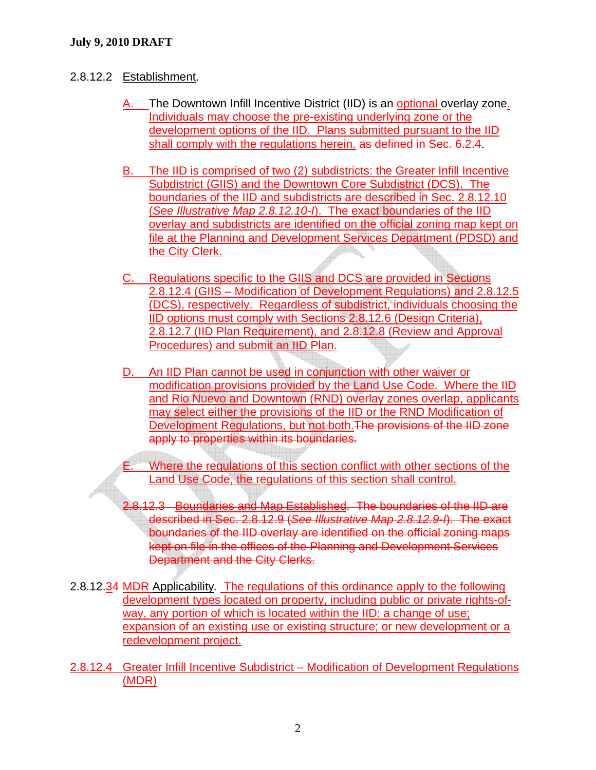# 2.8.12.2 Establishment.

- A. The Downtown Infill Incentive District (IID) is an optional overlay zone. Individuals may choose the pre-existing underlying zone or the development options of the IID. Plans submitted pursuant to the IID shall comply with the regulations herein. as defined in Sec. 6.2.4.
- B. The IID is comprised of two (2) subdistricts: the Greater Infill Incentive Subdistrict (GIIS) and the Downtown Core Subdistrict (DCS). The boundaries of the IID and subdistricts are described in Sec. 2.8.12.10 (*See Illustrative Map 2.8.12.10-I*). The exact boundaries of the IID overlay and subdistricts are identified on the official zoning map kept on file at the Planning and Development Services Department (PDSD) and the City Clerk.
- C. Regulations specific to the GIIS and DCS are provided in Sections 2.8.12.4 (GIIS – Modification of Development Regulations) and 2.8.12.5 (DCS), respectively. Regardless of subdistrict, individuals choosing the IID options must comply with Sections 2.8.12.6 (Design Criteria), 2.8.12.7 (IID Plan Requirement), and 2.8.12.8 (Review and Approval Procedures) and submit an IID Plan.
- D. An IID Plan cannot be used in conjunction with other waiver or modification provisions provided by the Land Use Code. Where the IID and Rio Nuevo and Downtown (RND) overlay zones overlap, applicants may select either the provisions of the IID or the RND Modification of Development Regulations, but not both. The provisions of the IID zone apply to properties within its boundaries.

Where the regulations of this section conflict with other sections of the Land Use Code, the regulations of this section shall control.

- 2.8.12.3 Boundaries and Map Established. The boundaries of the IID are described in Sec. 2.8.12.9 (*See Illustrative Map 2.8.12.9-I*). The exact boundaries of the IID overlay are identified on the official zoning maps kept on file in the offices of the Planning and Development Services Department and the City Clerks.
- 2.8.12.34 MDR Applicability*.* The regulations of this ordinance apply to the following development types located on property, including public or private rights-ofway, any portion of which is located within the IID: a change of use; expansion of an existing use or existing structure; or new development or a redevelopment project.
- 2.8.12.4 Greater Infill Incentive Subdistrict Modification of Development Regulations (MDR)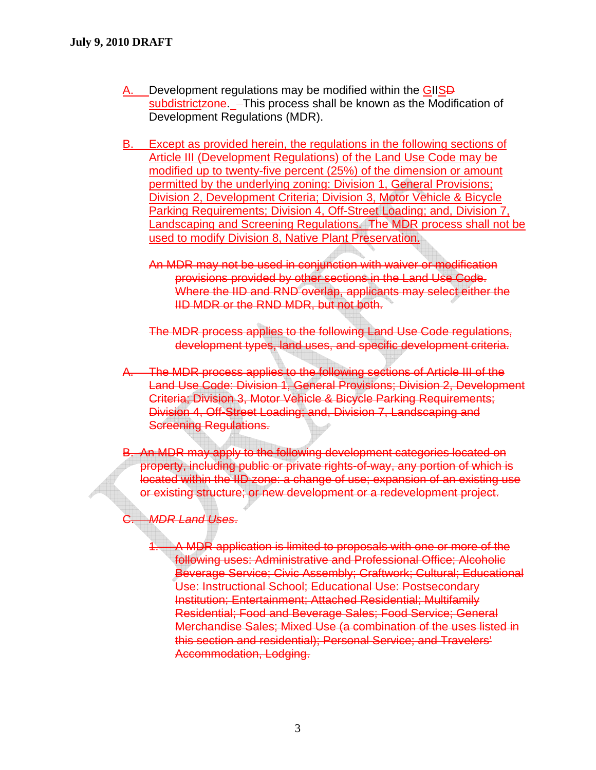- A. Development regulations may be modified within the GIISD subdistrictzone. - This process shall be known as the Modification of Development Regulations (MDR).
- B. Except as provided herein, the regulations in the following sections of Article III (Development Regulations) of the Land Use Code may be modified up to twenty-five percent (25%) of the dimension or amount permitted by the underlying zoning: Division 1, General Provisions; Division 2, Development Criteria; Division 3, Motor Vehicle & Bicycle Parking Requirements; Division 4, Off-Street Loading; and, Division 7, Landscaping and Screening Regulations. The MDR process shall not be used to modify Division 8, Native Plant Preservation.
	- An MDR may not be used in conjunction with waiver or modification provisions provided by other sections in the Land Use Code. Where the IID and RND overlap, applicants may select either the IID MDR or the RND MDR, but not both.
	- The MDR process applies to the following Land Use Code regulations, development types, land uses, and specific development criteria.
- A. The MDR process applies to the following sections of Article III of the Land Use Code: Division 1, General Provisions; Division 2, Development Criteria; Division 3, Motor Vehicle & Bicycle Parking Requirements; Division 4, Off-Street Loading; and, Division 7, Landscaping and Screening Regulations.
- B. An MDR may apply to the following development categories located on property, including public or private rights-of-way, any portion of which is located within the IID zone: a change of use; expansion of an existing use or existing structure; or new development or a redevelopment project.

# C. *MDR Land Uses*.

1. A MDR application is limited to proposals with one or more of the following uses: Administrative and Professional Office; Alcoholic Beverage Service; Civic Assembly; Craftwork; Cultural; Educational Use: Instructional School; Educational Use: Postsecondary Institution; Entertainment; Attached Residential; Multifamily Residential; Food and Beverage Sales; Food Service; General Merchandise Sales; Mixed Use (a combination of the uses listed in this section and residential); Personal Service; and Travelers' Accommodation, Lodging.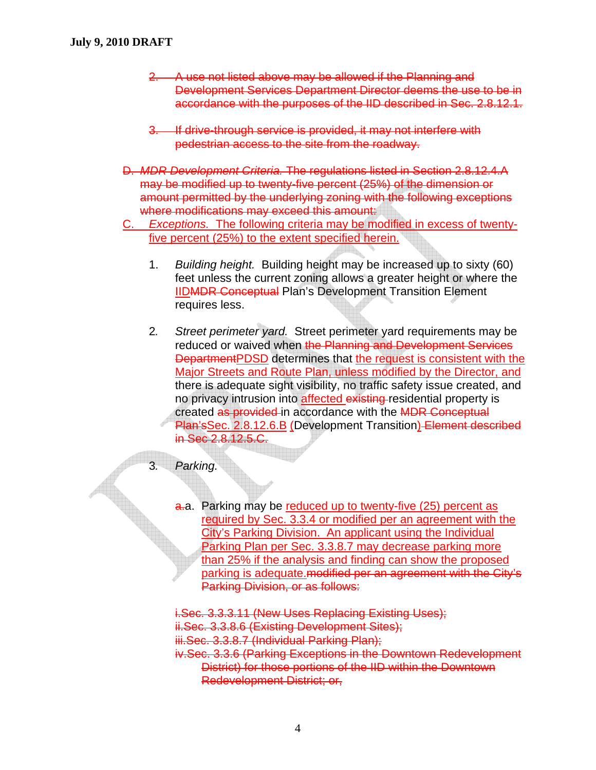- 2. A use not listed above may be allowed if the Planning and Development Services Department Director deems the use to be in accordance with the purposes of the IID described in Sec. 2.8.12.1.
- 3. If drive-through service is provided, it may not interfere with pedestrian access to the site from the roadway.
- D. *MDR Development Criteria.* The regulations listed in Section 2.8.12.4.A may be modified up to twenty-five percent (25%) of the dimension or amount permitted by the underlying zoning with the following exceptions where modifications may exceed this amount:
- C. *Exceptions.* The following criteria may be modified in excess of twentyfive percent (25%) to the extent specified herein.
	- 1. *Building height.* Building height may be increased up to sixty (60) feet unless the current zoning allows a greater height or where the IIDMDR Conceptual Plan's Development Transition Element requires less.
	- 2*. Street perimeter yard.* Street perimeter yard requirements may be reduced or waived when the Planning and Development Services DepartmentPDSD determines that the request is consistent with the Major Streets and Route Plan, unless modified by the Director, and there is adequate sight visibility, no traffic safety issue created, and no privacy intrusion into affected existing residential property is created as provided in accordance with the MDR Conceptual Plan'sSec. 2.8.12.6.B (Development Transition) Element described in Sec 2.8.12.5.C.

3*. Parking.*

a. Parking may be reduced up to twenty-five (25) percent as required by Sec. 3.3.4 or modified per an agreement with the City's Parking Division. An applicant using the Individual Parking Plan per Sec. 3.3.8.7 may decrease parking more than 25% if the analysis and finding can show the proposed parking is adequate. modified per an agreement with the City's Parking Division, or as follows:

i.Sec. 3.3.3.11 (New Uses Replacing Existing Uses); ii.Sec. 3.3.8.6 (Existing Development Sites); iii.Sec. 3.3.8.7 (Individual Parking Plan); iv.Sec. 3.3.6 (Parking Exceptions in the Downtown Redevelopment District) for those portions of the IID within the Downtown Redevelopment District; or,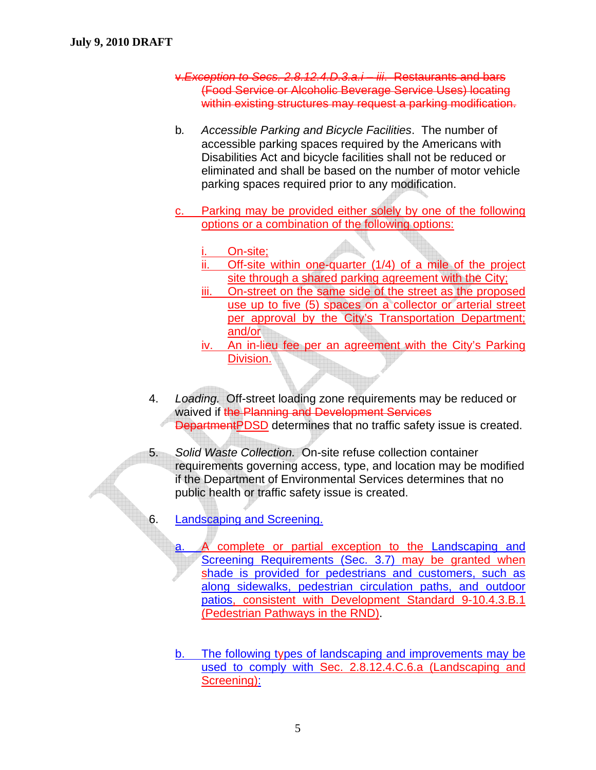- v.*Exception to Secs. 2.8.12.4.D.3.a.i iii*. Restaurants and bars (Food Service or Alcoholic Beverage Service Uses) locating within existing structures may request a parking modification.
- b*. Accessible Parking and Bicycle Facilities*. The number of accessible parking spaces required by the Americans with Disabilities Act and bicycle facilities shall not be reduced or eliminated and shall be based on the number of motor vehicle parking spaces required prior to any modification.
- Parking may be provided either solely by one of the following options or a combination of the following options:

On-site;

- Off-site within one-quarter  $(1/4)$  of a mile of the project site through a shared parking agreement with the City;
- iii. On-street on the same side of the street as the proposed use up to five (5) spaces on a collector or arterial street per approval by the City's Transportation Department; and/or
- iv. An in-lieu fee per an agreement with the City's Parking Division.
- 4. *Loading.* Off-street loading zone requirements may be reduced or waived if the Planning and Development Services DepartmentPDSD determines that no traffic safety issue is created.
- 5. *Solid Waste Collection.* On-site refuse collection container requirements governing access, type, and location may be modified if the Department of Environmental Services determines that no public health or traffic safety issue is created.

6. Landscaping and Screening.

- a. A complete or partial exception to the Landscaping and Screening Requirements (Sec. 3.7) may be granted when shade is provided for pedestrians and customers, such as along sidewalks, pedestrian circulation paths, and outdoor patios, consistent with Development Standard 9-10.4.3.B.1 (Pedestrian Pathways in the RND).
- b. The following types of landscaping and improvements may be used to comply with Sec. 2.8.12.4.C.6.a (Landscaping and Screening):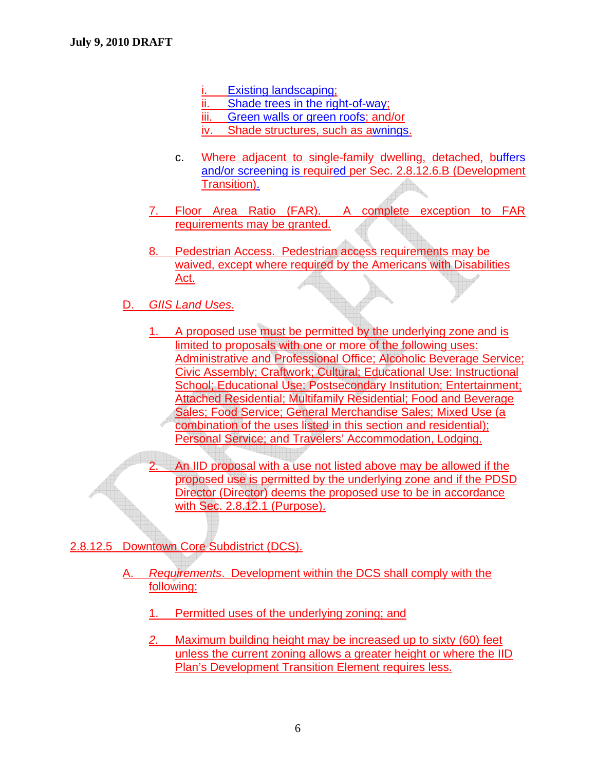- i. Existing landscaping;
- ii. Shade trees in the right-of-way;
- iii. Green walls or green roofs; and/or
- iv. Shade structures, such as awnings.
- c. Where adjacent to single-family dwelling, detached, buffers and/or screening is required per Sec. 2.8.12.6.B (Development Transition).
- 7. Floor Area Ratio (FAR). A complete exception to FAR requirements may be granted.
- 8. Pedestrian Access. Pedestrian access requirements may be waived, except where required by the Americans with Disabilities Act.

D. *GIIS Land Uses*.

1. A proposed use must be permitted by the underlying zone and is limited to proposals with one or more of the following uses: Administrative and Professional Office; Alcoholic Beverage Service; Civic Assembly; Craftwork; Cultural; Educational Use: Instructional School; Educational Use: Postsecondary Institution; Entertainment; Attached Residential; Multifamily Residential; Food and Beverage Sales; Food Service; General Merchandise Sales; Mixed Use (a combination of the uses listed in this section and residential); Personal Service; and Travelers' Accommodation, Lodging.

An IID proposal with a use not listed above may be allowed if the proposed use is permitted by the underlying zone and if the PDSD Director (Director) deems the proposed use to be in accordance with Sec. 2.8.12.1 (Purpose).

2.8.12.5 Downtown Core Subdistrict (DCS).

- A. *Requirements*. Development within the DCS shall comply with the following:
	- 1. Permitted uses of the underlying zoning; and
	- *2.* Maximum building height may be increased up to sixty (60) feet unless the current zoning allows a greater height or where the IID Plan's Development Transition Element requires less.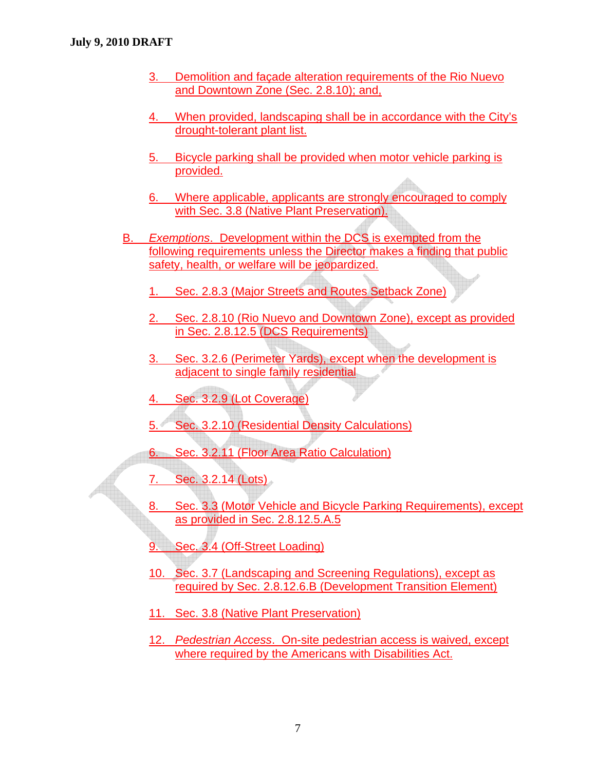- 3. Demolition and façade alteration requirements of the Rio Nuevo and Downtown Zone (Sec. 2.8.10); and,
- 4. When provided, landscaping shall be in accordance with the City's drought-tolerant plant list.
- 5. Bicycle parking shall be provided when motor vehicle parking is provided.
- 6. Where applicable, applicants are strongly encouraged to comply with Sec. 3.8 (Native Plant Preservation).
- B. *Exemptions*. Development within the DCS is exempted from the following requirements unless the Director makes a finding that public safety, health, or welfare will be jeopardized.
	- 1. Sec. 2.8.3 (Major Streets and Routes Setback Zone)
	- 2. Sec. 2.8.10 (Rio Nuevo and Downtown Zone), except as provided in Sec. 2.8.12.5 (DCS Requirements)
	- 3. Sec. 3.2.6 (Perimeter Yards), except when the development is adjacent to single family residential
	- 4. Sec. 3.2.9 (Lot Coverage)
	- Sec. 3.2.10 (Residential Density Calculations)
	- 6. Sec. 3.2.11 (Floor Area Ratio Calculation)
	- Sec. 3.2.14 (Lots)
	- 8. Sec. 3.3 (Motor Vehicle and Bicycle Parking Requirements), except as provided in Sec. 2.8.12.5.A.5
	- 9. Sec. 3.4 (Off-Street Loading)
	- 10. Sec. 3.7 (Landscaping and Screening Regulations), except as required by Sec. 2.8.12.6.B (Development Transition Element)
	- 11. Sec. 3.8 (Native Plant Preservation)
	- 12. *Pedestrian Access*. On-site pedestrian access is waived, except where required by the Americans with Disabilities Act.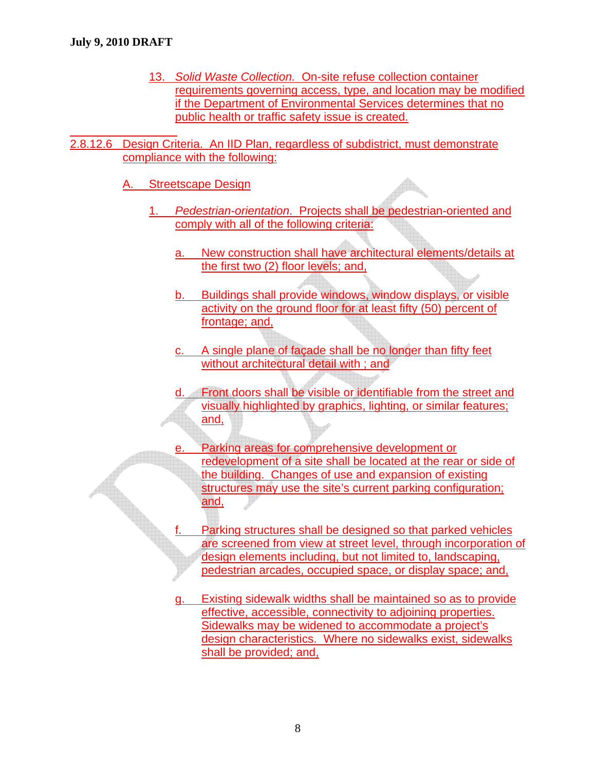$\overline{a}$ 

- 13. *Solid Waste Collection.* On-site refuse collection container requirements governing access, type, and location may be modified if the Department of Environmental Services determines that no public health or traffic safety issue is created.
- 2.8.12.6 Design Criteria. An IID Plan, regardless of subdistrict, must demonstrate compliance with the following:

A. Streetscape Design

- 1. *Pedestrian-orientation*. Projects shall be pedestrian-oriented and comply with all of the following criteria:
	- a. New construction shall have architectural elements/details at the first two (2) floor levels; and,
	- b. Buildings shall provide windows, window displays, or visible activity on the ground floor for at least fifty (50) percent of frontage; and,
	- c. A single plane of façade shall be no longer than fifty feet without architectural detail with; and
	- d. Front doors shall be visible or identifiable from the street and visually highlighted by graphics, lighting, or similar features; and,
	- e. Parking areas for comprehensive development or redevelopment of a site shall be located at the rear or side of the building. Changes of use and expansion of existing structures may use the site's current parking configuration;<br>and, and,
	- f. Parking structures shall be designed so that parked vehicles are screened from view at street level, through incorporation of design elements including, but not limited to, landscaping, pedestrian arcades, occupied space, or display space; and,
	- g. Existing sidewalk widths shall be maintained so as to provide effective, accessible, connectivity to adjoining properties. Sidewalks may be widened to accommodate a project's design characteristics. Where no sidewalks exist, sidewalks shall be provided; and,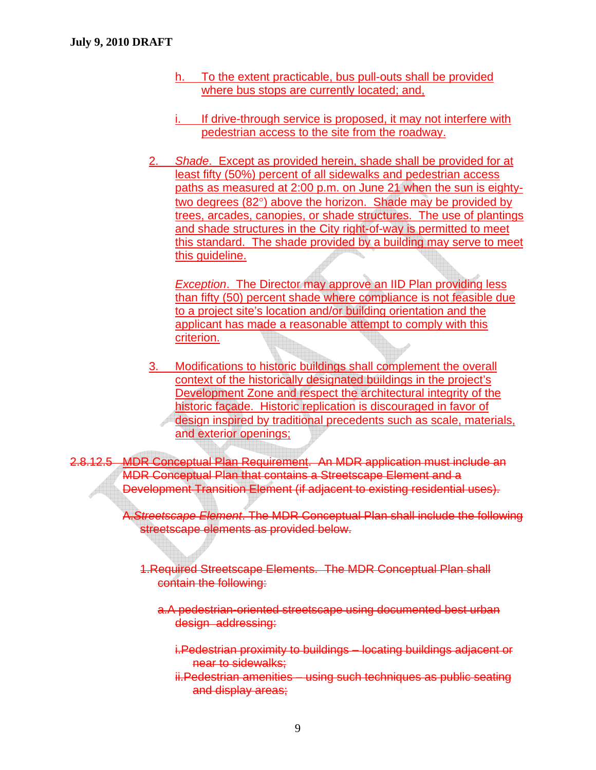h. To the extent practicable, bus pull-outs shall be provided where bus stops are currently located; and,

i. If drive-through service is proposed, it may not interfere with pedestrian access to the site from the roadway.

2. *Shade*. Except as provided herein, shade shall be provided for at least fifty (50%) percent of all sidewalks and pedestrian access paths as measured at 2:00 p.m. on June 21 when the sun is eightytwo degrees (82°) above the horizon. Shade may be provided by trees, arcades, canopies, or shade structures. The use of plantings and shade structures in the City right-of-way is permitted to meet this standard. The shade provided by a building may serve to meet this guideline.

*Exception*. The Director may approve an IID Plan providing less than fifty (50) percent shade where compliance is not feasible due to a project site's location and/or building orientation and the applicant has made a reasonable attempt to comply with this criterion.

3. Modifications to historic buildings shall complement the overall context of the historically designated buildings in the project's Development Zone and respect the architectural integrity of the historic façade. Historic replication is discouraged in favor of design inspired by traditional precedents such as scale, materials, and exterior openings;

2.8.12.5 MDR Conceptual Plan Requirement. An MDR application must include an MDR Conceptual Plan that contains a Streetscape Element and a Development Transition Element (if adjacent to existing residential uses).

> A.*Streetscape Element*. The MDR Conceptual Plan shall include the following streetscape elements as provided below.

- 1.Required Streetscape Elements. The MDR Conceptual Plan shall contain the following:
	- a.A pedestrian-oriented streetscape using documented best urban design addressing:
		- i.Pedestrian proximity to buildings locating buildings adjacent or near to sidewalks;
		- ii.Pedestrian amenities using such techniques as public seating and display areas;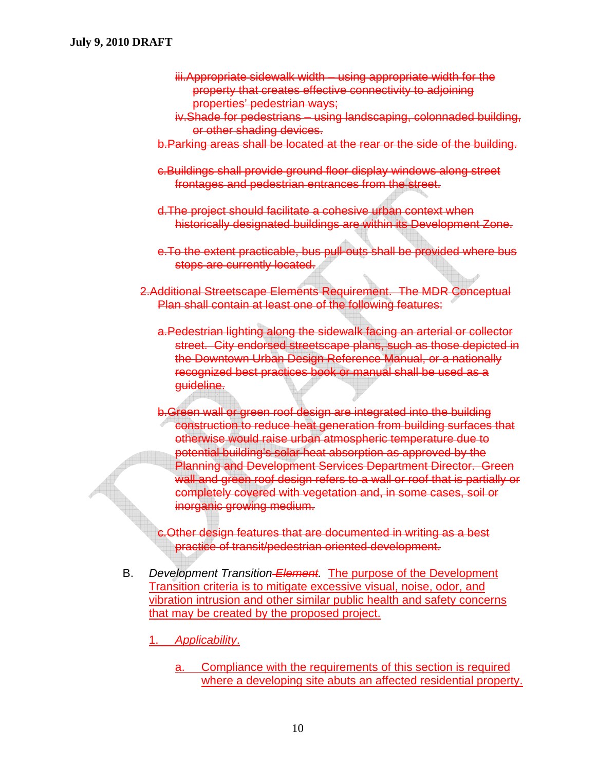- iii.Appropriate sidewalk width using appropriate width for the property that creates effective connectivity to adjoining properties' pedestrian ways;
- iv.Shade for pedestrians using landscaping, colonnaded building, or other shading devices.
- b.Parking areas shall be located at the rear or the side of the building.
- c.Buildings shall provide ground floor display windows along street frontages and pedestrian entrances from the street.
- d.The project should facilitate a cohesive urban context when historically designated buildings are within its Development Zone.
- e.To the extent practicable, bus pull-outs shall be provided where bus stops are currently located.
- 2.Additional Streetscape Elements Requirement. The MDR Conceptual Plan shall contain at least one of the following features:
	- a.Pedestrian lighting along the sidewalk facing an arterial or collector street. City endorsed streetscape plans, such as those depicted in the Downtown Urban Design Reference Manual, or a nationally recognized best practices book or manual shall be used as a guideline.
	- b.Green wall or green roof design are integrated into the building construction to reduce heat generation from building surfaces that otherwise would raise urban atmospheric temperature due to potential building's solar heat absorption as approved by the Planning and Development Services Department Director. Green wall and green roof design refers to a wall or roof that is partially or completely covered with vegetation and, in some cases, soil or inorganic growing medium.
	- c.Other design features that are documented in writing as a best practice of transit/pedestrian oriented development.
- B. *Development Transition Element.* The purpose of the Development Transition criteria is to mitigate excessive visual, noise, odor, and vibration intrusion and other similar public health and safety concerns that may be created by the proposed project.

# 1. *Applicability*.

a. Compliance with the requirements of this section is required where a developing site abuts an affected residential property.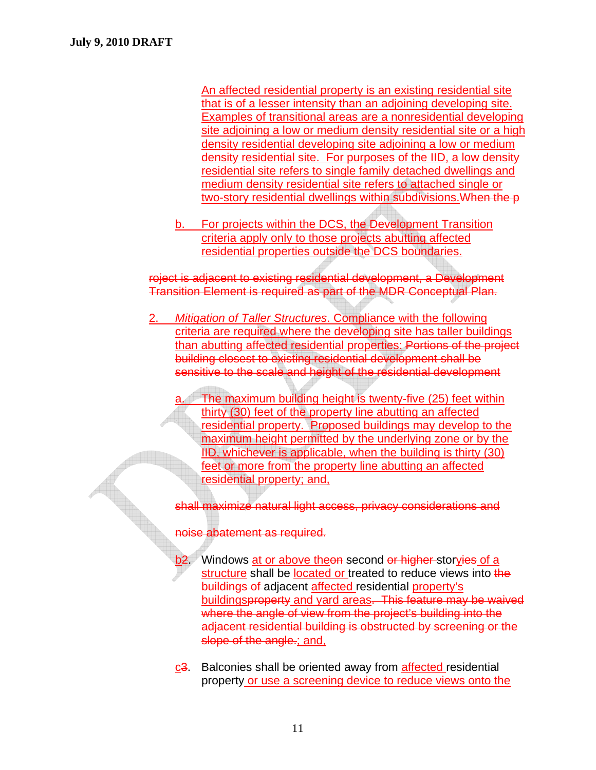An affected residential property is an existing residential site that is of a lesser intensity than an adjoining developing site. Examples of transitional areas are a nonresidential developing site adjoining a low or medium density residential site or a high density residential developing site adjoining a low or medium density residential site. For purposes of the IID, a low density residential site refers to single family detached dwellings and medium density residential site refers to attached single or two-story residential dwellings within subdivisions. When the p

b. For projects within the DCS, the Development Transition criteria apply only to those projects abutting affected residential properties outside the DCS boundaries.

roject is adjacent to existing residential development, a Development Transition Element is required as part of the MDR Conceptual Plan.

- 2. *Mitigation of Taller Structures*. Compliance with the following criteria are required where the developing site has taller buildings than abutting affected residential properties: Portions of the project building closest to existing residential development shall be sensitive to the scale and height of the residential development
	- The maximum building height is twenty-five (25) feet within thirty (30) feet of the property line abutting an affected residential property. Proposed buildings may develop to the maximum height permitted by the underlying zone or by the IID, whichever is applicable, when the building is thirty (30) feet or more from the property line abutting an affected residential property; and,

shall maximize natural light access, privacy considerations and

noise abatement as required.

- Windows at or above theon second or higher-storyies of a structure shall be located or treated to reduce views into the buildings of adjacent affected residential property's buildingsproperty and yard areas. This feature may be waived where the angle of view from the project's building into the adjacent residential building is obstructed by screening or the slope of the angle :; and,
- c3. Balconies shall be oriented away from affected residential property or use a screening device to reduce views onto the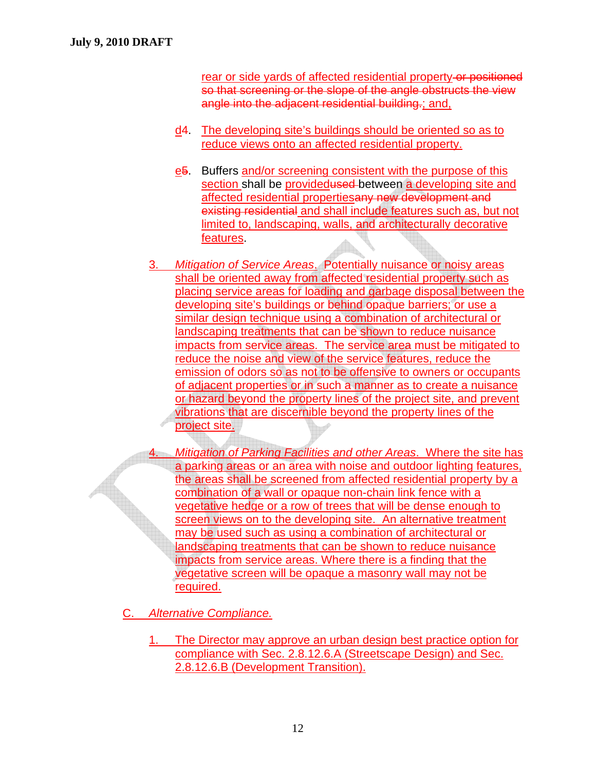rear or side yards of affected residential property or positioned so that screening or the slope of the angle obstructs the view angle into the adjacent residential building.; and,

- d4. The developing site's buildings should be oriented so as to reduce views onto an affected residential property.
- e5. Buffers and/or screening consistent with the purpose of this section shall be providedused between a developing site and affected residential propertiesany new development and existing residential and shall include features such as, but not limited to, landscaping, walls, and architecturally decorative features.
- 3. *Mitigation of Service Areas*. Potentially nuisance or noisy areas shall be oriented away from affected residential property such as placing service areas for loading and garbage disposal between the developing site's buildings or behind opaque barriers; or use a similar design technique using a combination of architectural or landscaping treatments that can be shown to reduce nuisance impacts from service areas. The service area must be mitigated to reduce the noise and view of the service features, reduce the emission of odors so as not to be offensive to owners or occupants of adjacent properties or in such a manner as to create a nuisance or hazard beyond the property lines of the project site, and prevent vibrations that are discernible beyond the property lines of the project site.

4. *Mitigation of Parking Facilities and other Areas*. Where the site has a parking areas or an area with noise and outdoor lighting features, the areas shall be screened from affected residential property by a combination of a wall or opaque non-chain link fence with a vegetative hedge or a row of trees that will be dense enough to screen views on to the developing site. An alternative treatment may be used such as using a combination of architectural or landscaping treatments that can be shown to reduce nuisance impacts from service areas. Where there is a finding that the vegetative screen will be opaque a masonry wall may not be required.

C. *Alternative Compliance.*

1. The Director may approve an urban design best practice option for compliance with Sec. 2.8.12.6.A (Streetscape Design) and Sec. 2.8.12.6.B (Development Transition).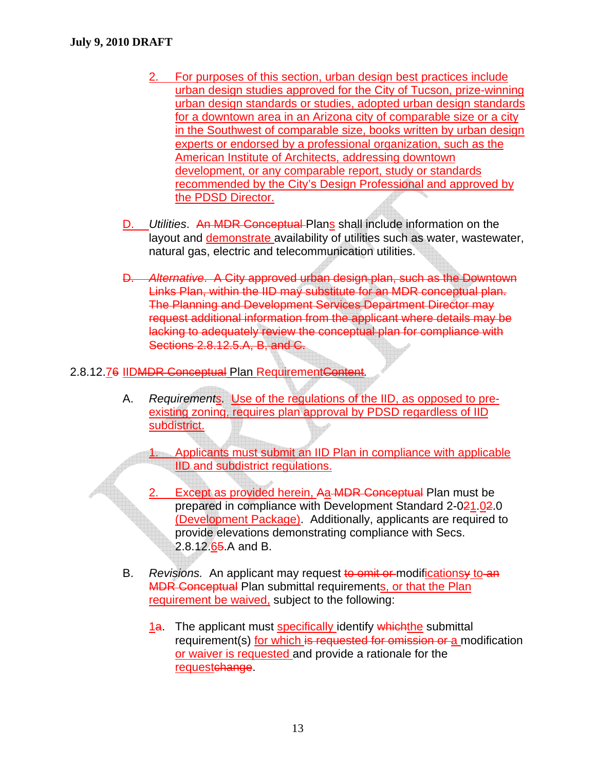- 2. For purposes of this section, urban design best practices include urban design studies approved for the City of Tucson, prize-winning urban design standards or studies, adopted urban design standards for a downtown area in an Arizona city of comparable size or a city in the Southwest of comparable size, books written by urban design experts or endorsed by a professional organization, such as the American Institute of Architects, addressing downtown development, or any comparable report, study or standards recommended by the City's Design Professional and approved by the PDSD Director.
- D. *Utilities*. An MDR Conceptual Plans shall include information on the layout and demonstrate availability of utilities such as water, wastewater, natural gas, electric and telecommunication utilities.
- D. *Alternative*. A City approved urban design plan, such as the Downtown Links Plan, within the IID may substitute for an MDR conceptual plan. The Planning and Development Services Department Director may request additional information from the applicant where details may be lacking to adequately review the conceptual plan for compliance with Sections 2.8.12.5.A, B, and C.

# 2.8.12.76 IIDMDR Conceptual Plan RequirementContent*.*

A. *Requirements.* Use of the regulations of the IID, as opposed to preexisting zoning, requires plan approval by PDSD regardless of IID subdistrict.

1. Applicants must submit an IID Plan in compliance with applicable IID and subdistrict regulations.

- Except as provided herein, Aa MDR Conceptual Plan must be prepared in compliance with Development Standard 2-021.02.0 (Development Package). Additionally, applicants are required to provide elevations demonstrating compliance with Secs. 2.8.12.65 A and B.
- B. *Revisions.* An applicant may request to omit or modificationsy to an MDR Conceptual Plan submittal requirements, or that the Plan requirement be waived, subject to the following:
	- 1a. The applicant must specifically identify which the submittal requirement(s) for which is requested for omission or a modification or waiver is requested and provide a rationale for the requestchange.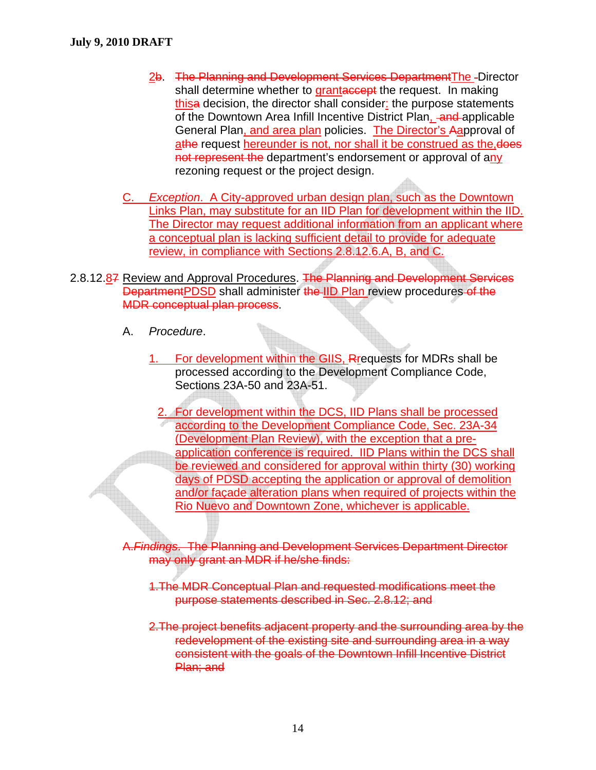- 2b. The Planning and Development Services Department The -Director shall determine whether to grantaccept the request. In making thisa decision, the director shall consider: the purpose statements of the Downtown Area Infill Incentive District Plan, and applicable General Plan, and area plan policies. The Director's Aapproval of athe request hereunder is not, nor shall it be construed as the, does not represent the department's endorsement or approval of any rezoning request or the project design.
- C. *Exception*. A City-approved urban design plan, such as the Downtown Links Plan, may substitute for an IID Plan for development within the IID. The Director may request additional information from an applicant where a conceptual plan is lacking sufficient detail to provide for adequate review, in compliance with Sections 2.8.12.6.A, B, and C.
- 2.8.12.87 Review and Approval Procedures. The Planning and Development Services DepartmentPDSD shall administer the IID Plan review procedures of the MDR conceptual plan process.
	- A. *Procedure*.
		- 1. For development within the GIIS, Rrequests for MDRs shall be processed according to the Development Compliance Code, Sections 23A-50 and 23A-51.
			- 2. For development within the DCS, IID Plans shall be processed according to the Development Compliance Code, Sec. 23A-34 (Development Plan Review), with the exception that a preapplication conference is required. IID Plans within the DCS shall be reviewed and considered for approval within thirty (30) working days of PDSD accepting the application or approval of demolition and/or façade alteration plans when required of projects within the Rio Nuevo and Downtown Zone, whichever is applicable.

A.*Findings*. The Planning and Development Services Department Director may only grant an MDR if he/she finds:

1.The MDR Conceptual Plan and requested modifications meet the purpose statements described in Sec. 2.8.12; and

2.The project benefits adjacent property and the surrounding area by the redevelopment of the existing site and surrounding area in a way consistent with the goals of the Downtown Infill Incentive District Plan; and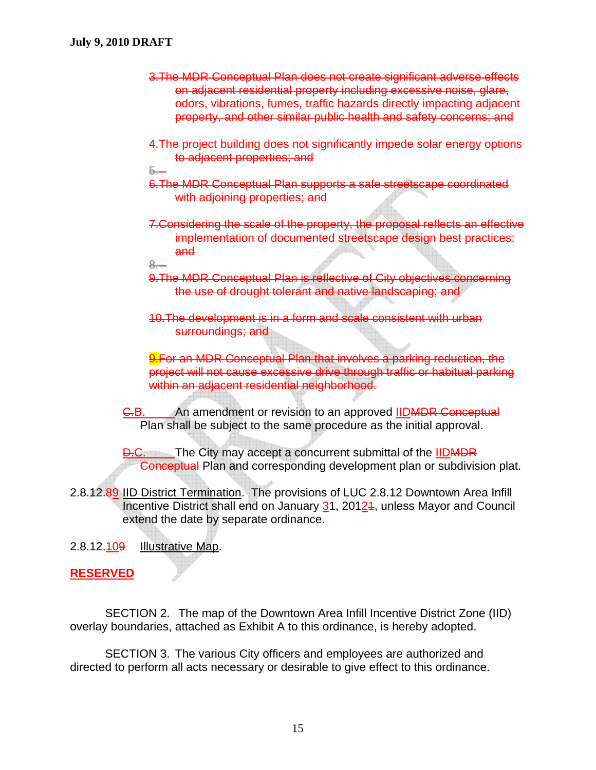- 3.The MDR Conceptual Plan does not create significant adverse effects on adjacent residential property including excessive noise, glare, odors, vibrations, fumes, traffic hazards directly impacting adjacent property, and other similar public health and safety concerns; and
- 4.The project building does not significantly impede solar energy options to adjacent properties; and

 $5 -$ 

- 6.The MDR Conceptual Plan supports a safe streetscape coordinated with adjoining properties; and
- 7. Considering the scale of the property, the proposal reflects an effective implementation of documented streetscape design best practices; and
- $8-$
- 9. The MDR Conceptual Plan is reflective of City objectives concerning the use of drought tolerant and native landscaping; and
- 10.The development is in a form and scale consistent with urban surroundings; and

9. For an MDR Conceptual Plan that involves a parking reduction, the project will not cause excessive drive through traffic or habitual parking within an adjacent residential neighborhood.

G.B. An amendment or revision to an approved IIDMDR Conceptual Plan shall be subject to the same procedure as the initial approval.

**D.C.** The City may accept a concurrent submittal of the IIDMDR Conceptual Plan and corresponding development plan or subdivision plat.

2.8.12.89 IID District Termination. The provisions of LUC 2.8.12 Downtown Area Infill Incentive District shall end on January 31, 20121, unless Mayor and Council extend the date by separate ordinance.

2.8.12.109 Illustrative Map.

# **RESERVED**

SECTION 2. The map of the Downtown Area Infill Incentive District Zone (IID) overlay boundaries, attached as Exhibit A to this ordinance, is hereby adopted.

SECTION 3. The various City officers and employees are authorized and directed to perform all acts necessary or desirable to give effect to this ordinance.